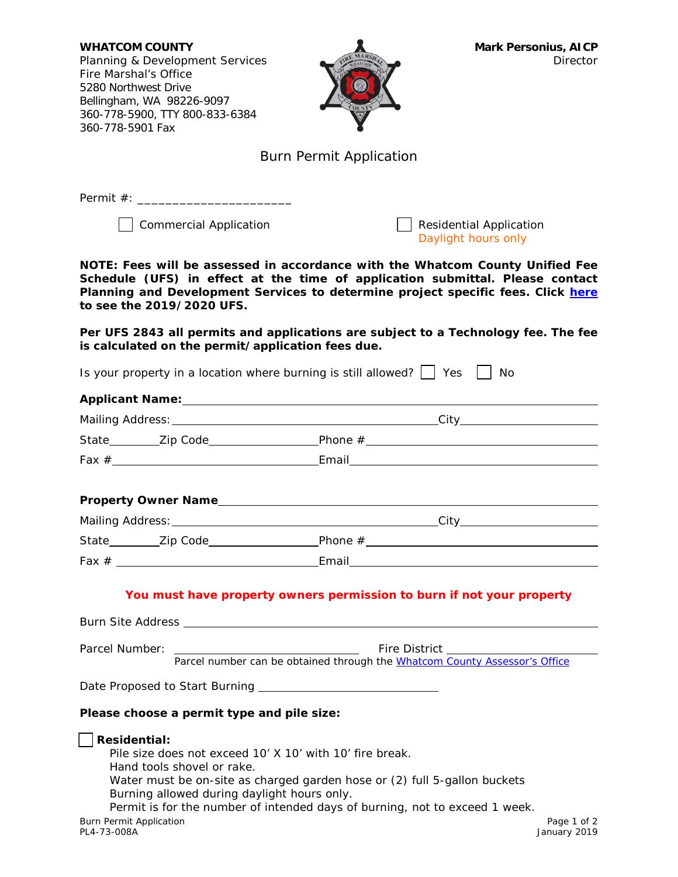**WHATCOM COUNTY Mark Personius, AICP** Planning & Development Services **Director** Director Fire Marshal's Office 5280 Northwest Drive Bellingham, WA 98226-9097 360-778-5900, TTY 800-833-6384 360-778-5901 Fax



## Burn Permit Application

Permit #: \_\_\_\_\_\_\_\_\_\_\_\_\_\_\_\_\_\_\_\_\_\_

◯ Commercial Application  $\Box$  Residential Application

Daylight hours only

**NOTE: Fees will be assessed in accordance with the Whatcom County Unified Fee Schedule (UFS) in effect at the time of application submittal. Please contact Planning and Development Services to determine project specific fees. Click [here](https://wa-whatcomcounty.civicplus.com/DocumentCenter/View/38803/2019-Approved-Unified-Fee-Schedule-for-Planning-PW-Engineering-Health-Environmental-Division) to see the 2019/2020 UFS.**

**Per UFS 2843 all permits and applications are subject to a Technology fee. The fee is calculated on the permit/application fees due.**

Is your property in a location where burning is still allowed?  $\Box$  Yes  $\Box$  No

| Parcel Number:                                                                      | Fire District<br>Parcel number can be obtained through the Whatcom County Assessor's Office                                                                                                                                                                                        |
|-------------------------------------------------------------------------------------|------------------------------------------------------------------------------------------------------------------------------------------------------------------------------------------------------------------------------------------------------------------------------------|
|                                                                                     |                                                                                                                                                                                                                                                                                    |
|                                                                                     |                                                                                                                                                                                                                                                                                    |
| Please choose a permit type and pile size:                                          |                                                                                                                                                                                                                                                                                    |
| <b>Residential:</b><br>Hand tools shovel or rake.<br><b>Burn Permit Application</b> | Pile size does not exceed 10' X 10' with 10' fire break.<br>Water must be on-site as charged garden hose or (2) full 5-gallon buckets<br>Burning allowed during daylight hours only.<br>Permit is for the number of intended days of burning, not to exceed 1 week.<br>Page 1 of 2 |
| PL4-73-008A                                                                         | January 2019                                                                                                                                                                                                                                                                       |